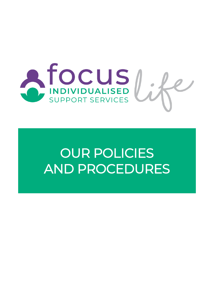

# OUR POLICIES AND PROCEDURES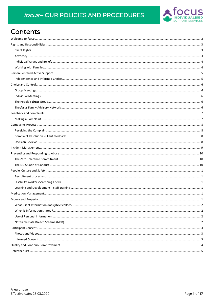### focus-OUR POLICIES AND PROCEDURES



### Contents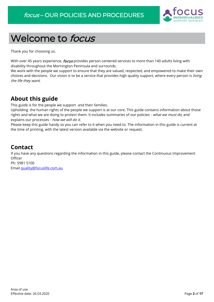

## <span id="page-2-0"></span>Welcome to focus

Thank you for choosing us.

With over 45 years experience, *focus* provides person centered services to more than 140 adults living with disability throughout the Mornington Peninsula and surrounds.

We work with the people we support to ensure that they are valued, respected, and empowered to make their own choices and decisions. Our vision is to be a service that provides high quality support, where every person is living the life they want.

### **About this guide**

This guide is for the people we support and their families.

Upholding the human rights of the people we support is at our core. This guide contains information about those rights and what we are doing to protect them. It includes summaries of our policies - what we must do, and explains our processes - how we will do it.

Please keep this guide handy so you can refer to it when you need to. The information in this guide is current at the time of printing, with the latest version available via the website or request.

### **Contact**

If you have any questions regarding the information in this guide, please contact the Continuous Improvement **Officer** Ph: 5981 5100

Email [quality@focuslife.com.au](mailto:quality@focuslife.com.au)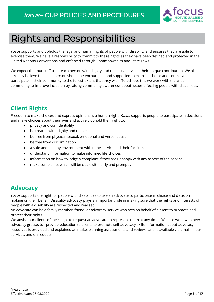

## <span id="page-3-0"></span>Rights and Responsibilities

focus supports and upholds the legal and human rights of people with disability and ensures they are able to exercise them. We have a responsibility to commit to these rights as they have been defined and protected in the United Nations Conventions and enforced through Commonwealth and State Laws.

We expect that our staff treat each person with dignity and respect and value their unique contribution. We also strongly believe that each person should be encouraged and supported to exercise choice and control and participate in their community to the fullest extent that they wish. To achieve this we work with the wider community to improve inclusion by raising community awareness about issues affecting people with disabilities.

### <span id="page-3-1"></span>**Client Rights**

Freedom to make choices and express opinions is a human right. *focus* supports people to participate in decisions and make choices about their lives and actively uphold their right to:

- privacy and confidentiality
- be treated with dignity and respect
- be free from physical, sexual, emotional and verbal abuse
- be free from discrimination
- a safe and healthy environment within the service and their facilities
- understand information to make informed life choices
- information on how to lodge a complaint if they are unhappy with any aspect of the service
- make complaints which will be dealt with fairly and promptly

### <span id="page-3-2"></span>**Advocacy**

focus supports the right for people with disabilities to use an advocate to participate in choice and decision making on their behalf. Disability advocacy plays an important role in making sure that the rights and interests of people with a disability are respected and realised.

An advocate can be a family member, friend, or advocacy service who acts on behalf of a client to promote and protect their rights.

We advise our clients of their right to request an advocate to represent them at any time. We also work with peer advocacy groups to provide education to clients to promote self-advocacy skills. Information about advocacy resources is provided and explained at intake, planning assessments and reviews, and is available via email, in our services, and on request.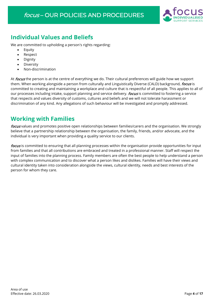

### <span id="page-4-0"></span>**Individual Values and Beliefs**

We are committed to upholding a person's rights regarding:

- Equity
- Respect
- **Dignity**
- **Diversity**
- Non-discrimination

At focus the person is at the centre of everything we do. Their cultural preferences will guide how we support them. When working alongside a person from culturally and Linguistically Diverse (CALD) background, focus is committed to creating and maintaining a workplace and culture that is respectful of all people. This applies to all of our processes including intake, support planning and service delivery. *focus* is committed to fostering a service that respects and values diversity of customs, cultures and beliefs and we will not tolerate harassment or discrimination of any kind. Any allegations of such behaviour will be investigated and promptly addressed.

### <span id="page-4-1"></span>**Working with Families**

focus values and promotes positive open relationships between families/carers and the organisation. We strongly believe that a partnership relationship between the organisation, the family, friends, and/or advocate, and the individual is very important when providing a quality service to our clients.

focus is committed to ensuring that all planning processes within the organisation provide opportunities for input from families and that all contributions are embraced and treated in a professional manner. Staff will respect the input of families into the planning process. Family members are often the best people to help understand a person with complex communication and to discover what a person likes and dislikes. Families will have their views and cultural identity taken into consideration alongside the views, cultural identity, needs and best interests of the person for whom they care.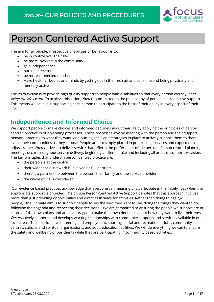

## <span id="page-5-0"></span>Person Centered Active Support

The aim for all people, irrespective of abilities or behaviour is to:

- be in control over their life
- be more involved in the community
- gain independence
- pursue interests
- be more connected to others
- Have healthier bodies and minds by getting out in the fresh air and sunshine and being physically and mentally active.

The *focus* vision is to provide high quality support to people with disabilities so that every person can say, I am living the life I want. To achieve this vision, focus is committed to the philosophy of person centred active support. This means we believe in supporting each person to participate to the best of their ability in every aspect of their life.

### <span id="page-5-1"></span>**Independence and Informed Choice**

We support people to make choices and informed decisions about their life by applying the principles of person centred practice in our planning processes. These processes involve meeting with the person and their support network, listening to what they want, and putting goals and strategies in place to actively support them to them live in their communities as they choose. People are not simply placed in pre-existing services and expected to adjust, rather, *focus* strives to deliver service that reflects the preferences of the person. Person centred planning meetings occur throughout service delivery, beginning at client intake and including all areas of support provision. The key principles that underpin person-centred practice are:

- the person is at the centre
- their wider social network is involved as full partners
- there is a partnership between the person, their family and the service provider
- the whole of life is considered

Our evidence based practices acknowledge that everyone can meaningfully participate in their daily lives when the appropriate support is provided. The phrase Person-Centred Active Support denotes that this approach involves more than just providing opportunities and direct assistance for activities. Rather than doing things for people, the ultimate aim is to support people to live the lives they want to live, doing the things they want to do, following their agenda and respecting their decisions. We are committed to ensuring the people we support are in control of their own plans and are encouraged to make their own decisions about how they want to live their lives. focus actively connects and develops working relationships with community supports and services available in our local areas. These include: volunteering and employment, sporting, social and recreational clubs, community centres, cultural and spiritual organisations, and adult education facilities. We will do everything we can to ensure the safety and wellbeing of our clients while they are participating in community based activities.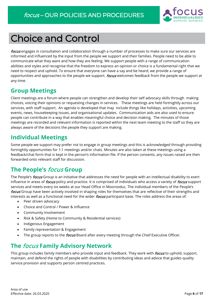

## <span id="page-6-0"></span>Choice and Control

focus engages in consultation and collaboration through a number of processes to make sure our services are informed and influenced by the input from the people we support and their families. People need to be able to communicate what they want and how they are feeling. We support people with a range of communication abilities and styles and recognise that the freedom to express an opinion or choice is a fundamental right that we need to respect and uphold. To ensure that everyone can have a say and be heard, we provide a range of opportunities and approaches to the people we support. *focus* welcomes feedback from the people we support at any time.

### <span id="page-6-1"></span>**Group Meetings**

Client meetings are a forum where people can strengthen and develop their self advocacy skills through making choices, voicing their opinions or requesting changes in services. These meetings are held fortnightly across our services, with staff support. An agenda is developed that may include things like holidays, activities, upcoming events, news, housekeeping issues, and organisational updates. Communication aids are also used to ensure people can contribute in a way that enables meaningful choice and decision making. The minutes of those meetings are recorded and relevant information is reported within the next team meeting to the staff so they are always aware of the decisions the people they support are making.

### <span id="page-6-2"></span>**Individual Meetings**

Some people we support may prefer not to engage in group meetings and this is acknowledged through providing fortnightly opportunities for 1:1 meetings and/or chats. Minutes are also taken at these meetings using a feedback/chat form that is kept in the person's information file. If the person consents, any issues raised are then forwarded onto relevant staff for discussion.

### <span id="page-6-3"></span>**The People's** focus **Group**

The People's *focus* Group is an initiative that addresses the need for people with an intellectual disability to exert influence in areas of *focus* policy and practice. It is comprised of individuals who access a variety of *focus* support services and meets every six weeks at our Head Office in Moorooduc. The individual members of the People's focus Group have been actively involved in shaping roles for themselves that are reflective of their strengths and interests as well as a functional need for the wider *focus* participant base. The roles address the areas of:

- Peer driven advocacy
- Choice and Control / Power & Influence
- Community Involvement
- Risk & Safety (Home to Community & Residential services)
- Indigenous Engagement
- Family representation & Engagement
- The group reports to the *focus* Board after every meeting through the Chief Executive Officer.

### <span id="page-6-4"></span>**The** focus **Family Advisory Network**

This group includes family members who provide input and feedback. They work with *focus* to uphold, support, maintain, and defend the rights of people with disabilities by contributing ideas and advice that guides quality service provision and supports person centred practices.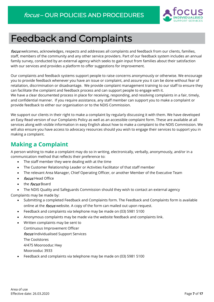

### <span id="page-7-0"></span>Feedback and Complaints

focus welcomes, acknowledges, respects and addresses all complaints and feedback from our clients, families, staff, members of the community and any other service providers. Part of our feedback system includes an annual family survey, conducted by an external agency which seeks to gain input from families about their satisfaction with our services and provides a platform to offer suggestions for improvement.

Our complaints and feedback systems support people to raise concerns anonymously or otherwise. We encourage you to provide feedback whenever you have an issue or complaint, and assure you it can be done without fear of retaliation, discrimination or disadvantage. We provide complaint management training to our staff to ensure they can facilitate the complaint and feedback process and can support people to engage with it. We have a clear documented process in place for receiving, responding, and resolving complaints in a fair, timely,

and confidential manner. If you require assistance, any staff member can support you to make a complaint or provide feedback to either our organisation or to the NDIS Commission.

We support our clients in their right to make a complaint by regularly discussing it with them. We have developed an Easy Read version of our Complaints Policy as well as an accessible complaint form. These are available at all services along with visible information in easy English about how to make a complaint to the NDIS Commission. We will also ensure you have access to advocacy resources should you wish to engage their services to support you in making a complaint.

### <span id="page-7-1"></span>**Making a Complaint**

A person wishing to make a complaint may do so in writing, electronically, verbally, anonymously, and/or in a communication method that reflects their preference to:

- The staff member they were dealing with at the time
- The Customer Relationship Leader or Activities Facilitator of that staff member
- The relevant Area Manager, Chief Operating Officer, or another Member of the Executive Team
- focus Head Office
- the *focus* Board

• The NDIS Quality and Safeguards Commission should they wish to contact an external agency

Complaints may be made by:

- Submitting a completed Feedback and Complaints form. The Feedback and Complaints form is available online at the *focus* website. A copy of the form can mailed out upon request.
- Feedback and complaints via telephone may be made on (03) 5981 5100
- Anonymous complaints may be made via the website feedback and complaints link.
- Written complaints may be sent to Continuous Improvement Officer focus Individualised Support Services The Coolstores 4/475 Moorooduc Hwy Moorooduc 3933
- Feedback and complaints via telephone may be made on (03) 5981 5100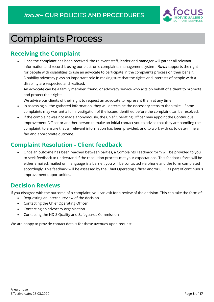

## <span id="page-8-0"></span>Complaints Process

### <span id="page-8-1"></span>**Receiving the Complaint**

• Once the complaint has been received, the relevant staff, leader and manager will gather all relevant information and record it using our electronic complaints management system. *focus* supports the right for people with disabilities to use an advocate to participate in the complaints process on their behalf. Disability advocacy plays an important role in making sure that the rights and interests of people with a disability are respected and realised.

An advocate can be a family member, friend, or advocacy service who acts on behalf of a client to promote and protect their rights.

We advise our clients of their right to request an advocate to represent them at any time.

- In assessing all the gathered information, they will determine the necessary steps to then take. Some complaints may warrant a full investigation of the issues identified before the complaint can be resolved.
- If the complaint was not made anonymously, the Chief Operating Officer may appoint the Continuous Improvement Officer or another person to make an initial contact you to advise that they are handling the complaint, to ensure that all relevant information has been provided, and to work with us to determine a fair and appropriate outcome.

### <span id="page-8-2"></span>**Complaint Resolution - Client feedback**

• Once an outcome has been reached between parties, a Complaints Feedback form will be provided to you to seek feedback to understand if the resolution process met your expectations. This feedback form will be either emailed, mailed or if language is a barrier, you will be contacted via phone and the form completed accordingly. This feedback will be assessed by the Chief Operating Officer and/or CEO as part of continuous improvement opportunities.

### <span id="page-8-3"></span>**Decision Reviews**

If you disagree with the outcome of a complaint, you can ask for a review of the decision. This can take the form of:

- Requesting an internal review of the decision
- Contacting the Chief Operating Officer
- Contacting an advocacy organisation
- Contacting the NDIS Quality and Safeguards Commission

We are happy to provide contact details for these avenues upon request.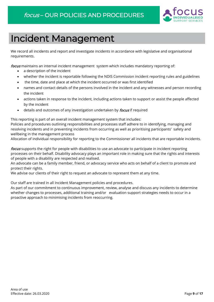

## <span id="page-9-0"></span>Incident Management

We record all incidents and report and investigate incidents in accordance with legislative and organisational requirements.

focus maintains an internal incident management system which includes mandatory reporting of:

- a description of the incident
- whether the incident is reportable following the NDIS Commission incident reporting rules and guidelines
- the time, date and place at which the incident occurred or was first identified
- names and contact details of the persons involved in the incident and any witnesses and person recording the incident
- actions taken in response to the incident, including actions taken to support or assist the people affected by the incident
- details and outcomes of any investigation undertaken by *focus* if required

This reporting is part of an overall incident management system that includes:

Policies and procedures outlining responsibilities and processes staff adhere to in identifying, managing and resolving incidents and in preventing incidents from occurring as well as prioritising participants' safety and wellbeing in the management process

Allocation of individual responsibility for reporting to the Commissioner all incidents that are reportable incidents.

focus supports the right for people with disabilities to use an advocate to participate in incident reporting processes on their behalf. Disability advocacy plays an important role in making sure that the rights and interests of people with a disability are respected and realised.

An advocate can be a family member, friend, or advocacy service who acts on behalf of a client to promote and protect their rights.

We advise our clients of their right to request an advocate to represent them at any time.

Our staff are trained in all Incident Management policies and procedures.

As part of our commitment to continuous improvement, review, analyse and discuss any incidents to determine whether changes to processes, additional training and/or evaluation support strategies needs to occur in a proactive approach to minimising incidents from reoccurring.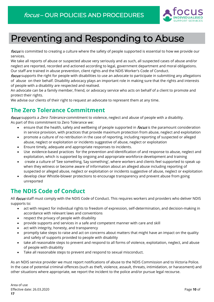

## <span id="page-10-0"></span>Preventing and Responding to Abuse

focus is committed to creating a culture where the safety of people supported is essential to how we provide our services.

We take all reports of abuse or suspected abuse very seriously and as such, all suspected cases of abuse and/or neglect are reported, recorded and actioned according to legal, government department and moral obligations. Our staff are trained in abuse prevention, client rights and the NDIS Worker's Code of Conduct.

focus supports the right for people with disabilities to use an advocate to participate in submitting any allegations of abuse on their behalf. Disability advocacy plays an important role in making sure that the rights and interests of people with a disability are respected and realised.

An advocate can be a family member, friend, or advocacy service who acts on behalf of a client to promote and protect their rights.

We advise our clients of their right to request an advocate to represent them at any time.

### <span id="page-10-1"></span>**The Zero Tolerance Commitment**

focus supports a *Zero Tolerance* commitment to violence, neglect and abuse of people with a disability. As part of this commitment to Zero Tolerance we:

- ensure that the health, safety and wellbeing of people supported in *focus* is the paramount consideration in service provision, with practices that provide maximum protection from abuse, neglect and exploitation
- promote a culture of no retribution in the case of reporting, including reporting of suspected or alleged abuse, neglect or exploitation or incidents suggestive of abuse, neglect or exploitation
- Ensure timely, adequate and appropriate responses to incidents.
- Use evidence-based practices for the prevention and identification of and response to abuse, neglect and exploitation, which is supported by ongoing and appropriate workforce development and training
- create a culture of 'See something, Say something', where workers and clients feel supported to speak up when they witness or become aware of information about an alleged abuse including reporting of suspected or alleged abuse, neglect or exploitation or incidents suggestive of abuse, neglect or exploitation
- develop clear Whistle-blower protections to encourage transparency and prevent abuse from going unreported

### <span id="page-10-2"></span>**The NDIS Code of Conduct**

All *focus* staff must comply with the NDIS Code of Conduct. This requires workers and providers who deliver NDIS supports to:

- act with respect for individual rights to freedom of expression, self-determination, and decision-making in accordance with relevant laws and conventions
- respect the privacy of people with disability
- provide supports and services in a safe and competent manner with care and skill
- act with integrity, honesty, and transparency
- promptly take steps to raise and act on concerns about matters that might have an impact on the quality and safety of supports provided to people with disability
- take all reasonable steps to prevent and respond to all forms of violence, exploitation, neglect, and abuse of people with disability
- Take all reasonable steps to prevent and respond to sexual misconduct.

As an NDIS service provider we must report notifications of abuse to the NDIS Commission and to Victoria Police. In the case of potential criminal offences (such as theft, violence, assault, threats, intimidation, or harassment) and other situations where appropriate, we report the incident to the police and/or pursue legal recourse.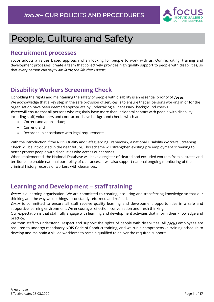

## <span id="page-11-0"></span>People, Culture and Safety

### <span id="page-11-1"></span>**Recruitment processes**

focus adopts a values based approach when looking for people to work with us. Our recruiting, training and development processes create a team that collectively provides high quality support to people with disabilities, so that every person can say "I am living the life that I want".

### <span id="page-11-2"></span>**Disability Workers Screening Check**

Upholding the rights and maintaining the safety of people with disability is an essential priority of *focus*. We acknowledge that a key step in the safe provision of services is to ensure that all persons working in or for the organisation have been deemed appropriate by undertaking all necessary background checks. focus will ensure that all persons who regularly have more than incidental contact with people with disability including staff, volunteers and contractors have background checks which are

- Correct and appropriate;
- Current; and
- Recorded in accordance with legal requirements

With the introduction if the NDIS Quality and Safeguarding Framework, a national Disability Worker's Screening Check will be introduced in the near future. This scheme will strengthen existing pre employment screening to better protect people with disabilities who access our services.

When implemented, the National Database will have a register of cleared and excluded workers from all states and territories to enable national portability of clearances. It will also support national ongoing monitoring of the criminal history records of workers with clearances.

### <span id="page-11-3"></span>**Learning and Development – staff training**

focus is a learning organisation. We are committed to creating, acquiring and transferring knowledge so that our thinking and the way we do things is constantly reformed and refined.

focus is committed to ensure all staff receive quality learning and development opportunities in a safe and supportive learning environment. We encourage reflection, conversation and fresh thinking.

Our expectation is that staff fully engage with learning and development activities that inform their knowledge and practice.

We train staff to understand, respect and support the rights of people with disabilities. All focus employees are required to undergo mandatory NDIS Code of Conduct training, and we run a comprehensive training schedule to develop and maintain a skilled workforce to remain qualified to deliver the required supports.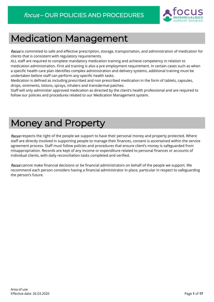

## <span id="page-12-0"></span>Medication Management

focus is committed to safe and effective prescription, storage, transportation, and administration of medication for clients that is consistent with regulatory requirements.

ALL staff are required to complete mandatory medication training and achieve competency in relation to medication administration. First aid training is also a pre employment requirement. In certain cases such as when a specific health care plan identifies complex administration and delivery systems, additional training must be undertaken before staff can perform any specific health tasks.

Medication is defined as including prescribed and non prescribed medication in the form of tablets, capsules, drops, ointments, lotions, sprays, inhalers and transdermal patches.

Staff will only administer approved medication as directed by the client's health professional and are required to follow our policies and procedures related to our Medication Management system.

## <span id="page-12-1"></span>Money and Property

focus respects the right of the people we support to have their personal money and property protected. Where staff are directly involved in supporting people to manage their finances, consent is ascertained within the service agreement process. Staff must follow policies and procedures that ensure client's money is safeguarded from misappropriation. Records are kept of any income or expenditure related to personal finances or accounts of individual clients, with daily reconciliation tasks completed and verified.

focus cannot make financial decisions or be financial administrators on behalf of the people we support. We recommend each person considers having a financial administrator in place, particular in respect to safeguarding the person's future.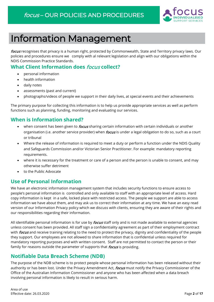

## Information Management

focus recognises that privacy is a human right, protected by Commonwealth, State and Territory privacy laws. Our policies and procedures ensure we comply with al relevant legislation and align with our obligations within the NDIS Commission Practice Standards.

### <span id="page-13-0"></span>**What Client Information does** focus **collect?**

- personal information
- health information
- daily notes
- assessments (past and current)
- photographs/videos of people we support in their daily lives, at special events and their achievements

The primary purpose for collecting this information is to help us provide appropriate services as well as perform functions such as planning, funding, monitoring and evaluating our services.

### <span id="page-13-1"></span>**When is Information shared?**

- when consent has been given to *focus* sharing certain information with certain individuals or another organisation (i.e. another service provider) when *focus* is under a legal obligation to do so, such as a court or tribunal
- Where the release of information is required to meet a duty or perform a function under the NDIS Quality and Safeguards Commission and/or Victorian Senior Practitioner. For example: mandatory reporting requirements.
- where it is necessary for the treatment or care of a person and the person is unable to consent, and may otherwise suffer detriment
- to the Public Advocate

### <span id="page-13-2"></span>**Use of Personal Information**

We have an electronic information management system that includes security functions to ensure access to people's personal information is controlled and only available to staff with an appropriate level of access. Hard copy information is kept in a safe, locked place with restricted access. The people we support are able to access information we have about them, and may ask us to correct their information at any time. We have an easy read version of our Information Privacy policy which we discuss with clients, ensuring they are aware of their rights and our responsibilities regarding their information.

All identifiable personal information is for use by *focus* staff only and is not made available to external agencies unless consent has been provided. All staff sign a confidentiality agreement as part of their employment contract with *focus* and receive training relating to the need to protect the privacy, dignity and confidentiality of the people they support. Our employees are not allowed to share information that is confidential unless required for mandatory reporting purposes and with written consent. Staff are not permitted to contact the person or their family for reasons outside the parameter of supports that *focus* is providing.

### <span id="page-13-3"></span>**Notifiable Data Breach Scheme (NDB)**

The purpose of the NDB scheme is to protect people whose personal information has been released without their authority or has been lost. Under the Privacy Amendment Act, focus must notify the Privacy Commissioner of the Office of the Australian Information Commissioner and anyone who has been affected when a data breach involving personal information is likely to result in serious harm.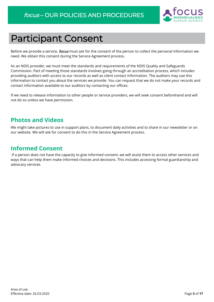

## <span id="page-14-0"></span>Participant Consent

Before we provide a service, *focus* must ask for the consent of the person to collect the personal information we need. We obtain this consent during the Service Agreement process.

As an NDIS provider, we must meet the standards and requirements of the NDIS Quality and Safeguards Commission. Part of meeting those standards involves going through an accreditation process, which includes providing auditors with access to our records as well as client contact information. The auditors may use this information to contact you about the services we provide. You can request that we do not make your records and contact information available to our auditors by contacting our offices.

If we need to release information to other people or service providers, we will seek consent beforehand and will not do so unless we have permission.

### <span id="page-14-1"></span>**Photos and Videos**

We might take pictures to use in support plans, to document daily activities and to share in our newsletter or on our website. We will ask for consent to do this in the Service Agreement process.

### <span id="page-14-2"></span>**Informed Consent**

If a person does not have the capacity to give informed consent, we will assist them to access other services and ways that can help them make informed choices and decisions. This includes accessing formal guardianship and advocacy services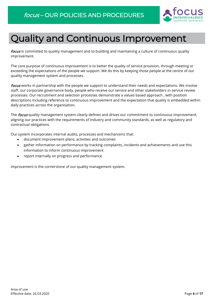

## <span id="page-15-0"></span>Quality and Continuous Improvement

focus is committed to quality management and to building and maintaining a culture of continuous quality improvement.

The core purpose of continuous improvement is to better the quality of service provision, through meeting or exceeding the expectations of the people we support. We do this by keeping those people at the centre of our quality management system and processes.

focus works in partnership with the people we support to understand their needs and expectations. We involve staff, our corporate governance body, people who receive our service and other stakeholders in service review processes. Our recruitment and selection processes demonstrate a values based approach , with position descriptions including reference to continuous improvement and the expectation that quality is embedded within daily practices across the organisation.

The *focus* quality management system clearly defines and drives our commitment to continuous improvement, aligning our practices with the requirements of industry and community standards, as well as regulatory and contractual obligations.

Our system incorporates internal audits, processes and mechanisms that:

- document improvement plans, activities and outcomes
- gather information on performance by tracking complaints, incidents and achievements and use this information to inform continuous improvement
- report internally on progress and performance

Improvement is the cornerstone of our quality management system.